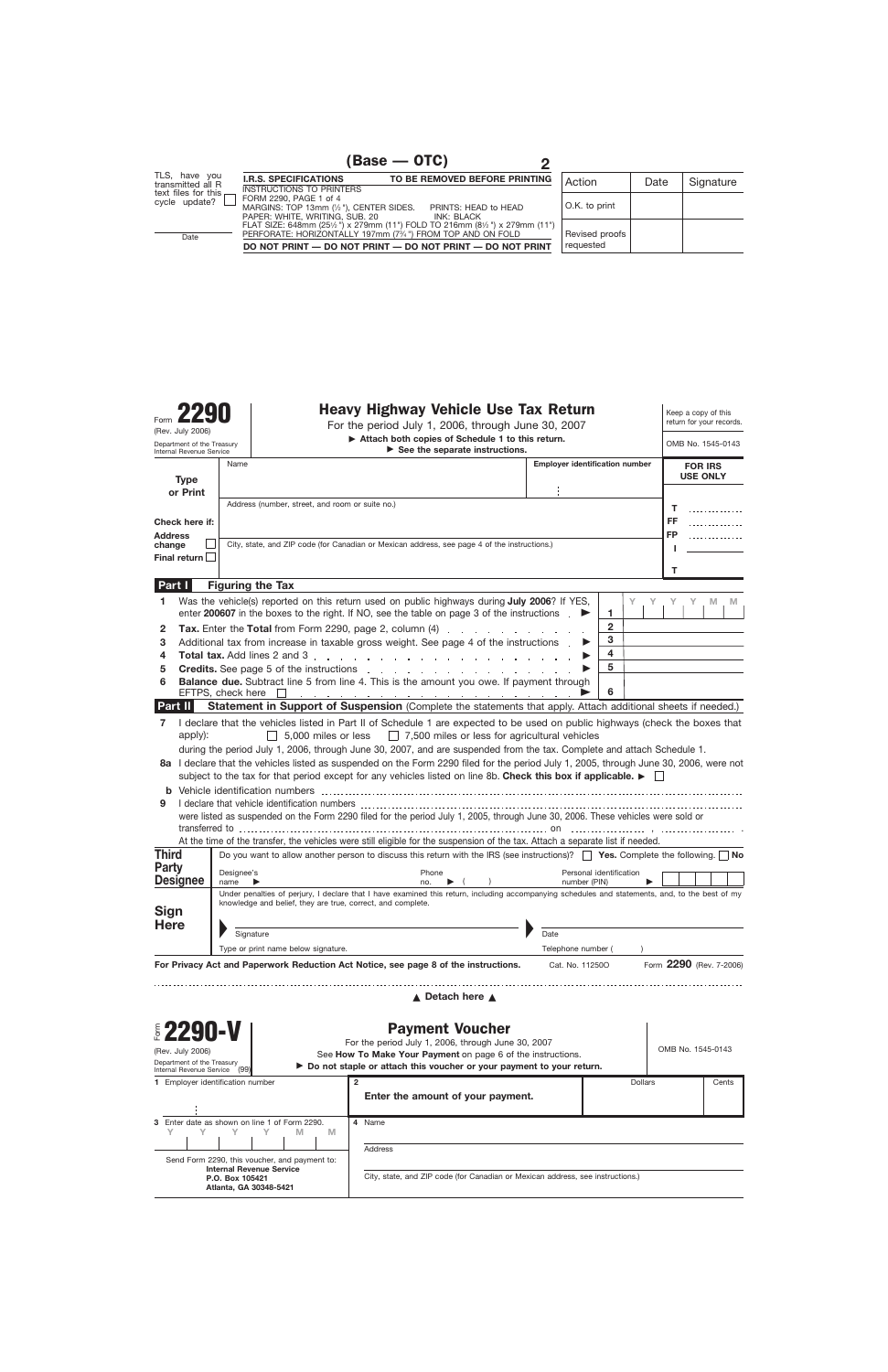Department of the Treasury

# Form **2290 Heavy Highway Vehicle Use Tax Return**<br>For the period July 1, 2006, through June 30, 2007

For the period July 1, 2006, through June 30, 2007

Keep a copy of this return for your records.

▶ Attach both copies of Schedule 1 to this return.

| Department of the Treasury<br>Internal Revenue Service   |                                                                  |                                                                                              |                                                                                                    | Attach both copies of Schedule 1 to this return.                                                                                                                                                                                                                                                                                                                                                                                                                                                                                                                                                                                                                                                                                                                                                                                                                                                                                                                                                                                                                                                                                                                                                                                                                                                                                                                                                                                                                                                                                                                                                                                                                                                                                                                                                                                                                                                                                                                                                                                                                                                                                                                                                                                                                                                                                                                                                                                                                                                                                                                                                                                                                                                                                                                                                                                                                                                                                                                                                                                                                                                        |      |         |              |        |
|----------------------------------------------------------|------------------------------------------------------------------|----------------------------------------------------------------------------------------------|----------------------------------------------------------------------------------------------------|---------------------------------------------------------------------------------------------------------------------------------------------------------------------------------------------------------------------------------------------------------------------------------------------------------------------------------------------------------------------------------------------------------------------------------------------------------------------------------------------------------------------------------------------------------------------------------------------------------------------------------------------------------------------------------------------------------------------------------------------------------------------------------------------------------------------------------------------------------------------------------------------------------------------------------------------------------------------------------------------------------------------------------------------------------------------------------------------------------------------------------------------------------------------------------------------------------------------------------------------------------------------------------------------------------------------------------------------------------------------------------------------------------------------------------------------------------------------------------------------------------------------------------------------------------------------------------------------------------------------------------------------------------------------------------------------------------------------------------------------------------------------------------------------------------------------------------------------------------------------------------------------------------------------------------------------------------------------------------------------------------------------------------------------------------------------------------------------------------------------------------------------------------------------------------------------------------------------------------------------------------------------------------------------------------------------------------------------------------------------------------------------------------------------------------------------------------------------------------------------------------------------------------------------------------------------------------------------------------------------------------------------------------------------------------------------------------------------------------------------------------------------------------------------------------------------------------------------------------------------------------------------------------------------------------------------------------------------------------------------------------------------------------------------------------------------------------------------------------|------|---------|--------------|--------|
|                                                          |                                                                  | Name                                                                                         |                                                                                                    |                                                                                                                                                                                                                                                                                                                                                                                                                                                                                                                                                                                                                                                                                                                                                                                                                                                                                                                                                                                                                                                                                                                                                                                                                                                                                                                                                                                                                                                                                                                                                                                                                                                                                                                                                                                                                                                                                                                                                                                                                                                                                                                                                                                                                                                                                                                                                                                                                                                                                                                                                                                                                                                                                                                                                                                                                                                                                                                                                                                                                                                                                                         |      |         |              |        |
|                                                          | <b>Type</b>                                                      |                                                                                              |                                                                                                    |                                                                                                                                                                                                                                                                                                                                                                                                                                                                                                                                                                                                                                                                                                                                                                                                                                                                                                                                                                                                                                                                                                                                                                                                                                                                                                                                                                                                                                                                                                                                                                                                                                                                                                                                                                                                                                                                                                                                                                                                                                                                                                                                                                                                                                                                                                                                                                                                                                                                                                                                                                                                                                                                                                                                                                                                                                                                                                                                                                                                                                                                                                         |      |         |              |        |
| or Print<br>Check here if:                               |                                                                  |                                                                                              | Address (number, street, and room or suite no.)                                                    |                                                                                                                                                                                                                                                                                                                                                                                                                                                                                                                                                                                                                                                                                                                                                                                                                                                                                                                                                                                                                                                                                                                                                                                                                                                                                                                                                                                                                                                                                                                                                                                                                                                                                                                                                                                                                                                                                                                                                                                                                                                                                                                                                                                                                                                                                                                                                                                                                                                                                                                                                                                                                                                                                                                                                                                                                                                                                                                                                                                                                                                                                                         |      |         |              |        |
|                                                          |                                                                  |                                                                                              |                                                                                                    |                                                                                                                                                                                                                                                                                                                                                                                                                                                                                                                                                                                                                                                                                                                                                                                                                                                                                                                                                                                                                                                                                                                                                                                                                                                                                                                                                                                                                                                                                                                                                                                                                                                                                                                                                                                                                                                                                                                                                                                                                                                                                                                                                                                                                                                                                                                                                                                                                                                                                                                                                                                                                                                                                                                                                                                                                                                                                                                                                                                                                                                                                                         |      |         | FF           |        |
| <b>Address</b>                                           |                                                                  |                                                                                              |                                                                                                    |                                                                                                                                                                                                                                                                                                                                                                                                                                                                                                                                                                                                                                                                                                                                                                                                                                                                                                                                                                                                                                                                                                                                                                                                                                                                                                                                                                                                                                                                                                                                                                                                                                                                                                                                                                                                                                                                                                                                                                                                                                                                                                                                                                                                                                                                                                                                                                                                                                                                                                                                                                                                                                                                                                                                                                                                                                                                                                                                                                                                                                                                                                         |      |         | FP           |        |
| change<br>Final return                                   |                                                                  | City, state, and ZIP code (for Canadian or Mexican address, see page 4 of the instructions.) |                                                                                                    |                                                                                                                                                                                                                                                                                                                                                                                                                                                                                                                                                                                                                                                                                                                                                                                                                                                                                                                                                                                                                                                                                                                                                                                                                                                                                                                                                                                                                                                                                                                                                                                                                                                                                                                                                                                                                                                                                                                                                                                                                                                                                                                                                                                                                                                                                                                                                                                                                                                                                                                                                                                                                                                                                                                                                                                                                                                                                                                                                                                                                                                                                                         |      |         |              |        |
|                                                          |                                                                  |                                                                                              |                                                                                                    |                                                                                                                                                                                                                                                                                                                                                                                                                                                                                                                                                                                                                                                                                                                                                                                                                                                                                                                                                                                                                                                                                                                                                                                                                                                                                                                                                                                                                                                                                                                                                                                                                                                                                                                                                                                                                                                                                                                                                                                                                                                                                                                                                                                                                                                                                                                                                                                                                                                                                                                                                                                                                                                                                                                                                                                                                                                                                                                                                                                                                                                                                                         |      |         | т            |        |
| Part I                                                   |                                                                  |                                                                                              | <b>Figuring the Tax</b>                                                                            |                                                                                                                                                                                                                                                                                                                                                                                                                                                                                                                                                                                                                                                                                                                                                                                                                                                                                                                                                                                                                                                                                                                                                                                                                                                                                                                                                                                                                                                                                                                                                                                                                                                                                                                                                                                                                                                                                                                                                                                                                                                                                                                                                                                                                                                                                                                                                                                                                                                                                                                                                                                                                                                                                                                                                                                                                                                                                                                                                                                                                                                                                                         |      |         |              |        |
| 1                                                        |                                                                  |                                                                                              |                                                                                                    |                                                                                                                                                                                                                                                                                                                                                                                                                                                                                                                                                                                                                                                                                                                                                                                                                                                                                                                                                                                                                                                                                                                                                                                                                                                                                                                                                                                                                                                                                                                                                                                                                                                                                                                                                                                                                                                                                                                                                                                                                                                                                                                                                                                                                                                                                                                                                                                                                                                                                                                                                                                                                                                                                                                                                                                                                                                                                                                                                                                                                                                                                                         |      | Y<br>1. | Y.<br>Υ<br>Y | M<br>M |
| 2                                                        |                                                                  |                                                                                              |                                                                                                    |                                                                                                                                                                                                                                                                                                                                                                                                                                                                                                                                                                                                                                                                                                                                                                                                                                                                                                                                                                                                                                                                                                                                                                                                                                                                                                                                                                                                                                                                                                                                                                                                                                                                                                                                                                                                                                                                                                                                                                                                                                                                                                                                                                                                                                                                                                                                                                                                                                                                                                                                                                                                                                                                                                                                                                                                                                                                                                                                                                                                                                                                                                         |      |         |              |        |
| 3<br>4                                                   |                                                                  |                                                                                              |                                                                                                    |                                                                                                                                                                                                                                                                                                                                                                                                                                                                                                                                                                                                                                                                                                                                                                                                                                                                                                                                                                                                                                                                                                                                                                                                                                                                                                                                                                                                                                                                                                                                                                                                                                                                                                                                                                                                                                                                                                                                                                                                                                                                                                                                                                                                                                                                                                                                                                                                                                                                                                                                                                                                                                                                                                                                                                                                                                                                                                                                                                                                                                                                                                         |      | 4       |              |        |
| 5                                                        |                                                                  |                                                                                              |                                                                                                    |                                                                                                                                                                                                                                                                                                                                                                                                                                                                                                                                                                                                                                                                                                                                                                                                                                                                                                                                                                                                                                                                                                                                                                                                                                                                                                                                                                                                                                                                                                                                                                                                                                                                                                                                                                                                                                                                                                                                                                                                                                                                                                                                                                                                                                                                                                                                                                                                                                                                                                                                                                                                                                                                                                                                                                                                                                                                                                                                                                                                                                                                                                         |      | 5       |              |        |
| 6                                                        |                                                                  |                                                                                              |                                                                                                    |                                                                                                                                                                                                                                                                                                                                                                                                                                                                                                                                                                                                                                                                                                                                                                                                                                                                                                                                                                                                                                                                                                                                                                                                                                                                                                                                                                                                                                                                                                                                                                                                                                                                                                                                                                                                                                                                                                                                                                                                                                                                                                                                                                                                                                                                                                                                                                                                                                                                                                                                                                                                                                                                                                                                                                                                                                                                                                                                                                                                                                                                                                         |      |         |              |        |
| Part II                                                  |                                                                  |                                                                                              |                                                                                                    |                                                                                                                                                                                                                                                                                                                                                                                                                                                                                                                                                                                                                                                                                                                                                                                                                                                                                                                                                                                                                                                                                                                                                                                                                                                                                                                                                                                                                                                                                                                                                                                                                                                                                                                                                                                                                                                                                                                                                                                                                                                                                                                                                                                                                                                                                                                                                                                                                                                                                                                                                                                                                                                                                                                                                                                                                                                                                                                                                                                                                                                                                                         |      |         |              |        |
| 9<br><b>Third</b><br><b>Party</b><br>Sign<br><b>Here</b> | apply):<br><b>Designee</b>                                       | Designee's<br>name<br>Signature                                                              | knowledge and belief, they are true, correct, and complete.<br>Type or print name below signature. | Phone<br>no.<br>▶                                                                                                                                                                                                                                                                                                                                                                                                                                                                                                                                                                                                                                                                                                                                                                                                                                                                                                                                                                                                                                                                                                                                                                                                                                                                                                                                                                                                                                                                                                                                                                                                                                                                                                                                                                                                                                                                                                                                                                                                                                                                                                                                                                                                                                                                                                                                                                                                                                                                                                                                                                                                                                                                                                                                                                                                                                                                                                                                                                                                                                                                                       | Date |         |              |        |
|                                                          |                                                                  |                                                                                              |                                                                                                    |                                                                                                                                                                                                                                                                                                                                                                                                                                                                                                                                                                                                                                                                                                                                                                                                                                                                                                                                                                                                                                                                                                                                                                                                                                                                                                                                                                                                                                                                                                                                                                                                                                                                                                                                                                                                                                                                                                                                                                                                                                                                                                                                                                                                                                                                                                                                                                                                                                                                                                                                                                                                                                                                                                                                                                                                                                                                                                                                                                                                                                                                                                         |      |         |              |        |
|                                                          | <b>82290-V</b><br>(Rev. July 2006)<br>Department of the Treasury | (99)                                                                                         |                                                                                                    | OMB No. 1545-0143<br>$\triangleright$ See the separate instructions.<br><b>Employer identification number</b><br><b>FOR IRS</b><br><b>USE ONLY</b><br>т<br>Was the vehicle(s) reported on this return used on public highways during July 2006? If YES,<br>enter 200607 in the boxes to the right. If NO, see the table on page 3 of the instructions .<br>$\mathbf{2}$<br>Tax. Enter the Total from Form 2290, page 2, column (4)<br>3<br>Additional tax from increase in taxable gross weight. See page 4 of the instructions .<br><b>Credits.</b> See page 5 of the instructions entering the set of the instructions of the interior of the instructions of the instructions of the instructions of the instructions of the instructions of the instructions of the<br><b>Balance due.</b> Subtract line 5 from line 4. This is the amount you owe. If payment through<br>6<br>EFTPS, check here <u>Fig. All and the set of the set of the set of the set of the set of the set of the set of the set of the set of the set of the set of the set of the set of the set of the set of the set of the set of the</u><br>Statement in Support of Suspension (Complete the statements that apply. Attach additional sheets if needed.)<br>I declare that the vehicles listed in Part II of Schedule 1 are expected to be used on public highways (check the boxes that<br>$\Box$ 7,500 miles or less for agricultural vehicles<br>$\Box$ 5,000 miles or less<br>during the period July 1, 2006, through June 30, 2007, and are suspended from the tax. Complete and attach Schedule 1.<br>8a I declare that the vehicles listed as suspended on the Form 2290 filed for the period July 1, 2005, through June 30, 2006, were not<br>subject to the tax for that period except for any vehicles listed on line 8b. Check this box if applicable. $\blacktriangleright$<br>were listed as suspended on the Form 2290 filed for the period July 1, 2005, through June 30, 2006. These vehicles were sold or<br>At the time of the transfer, the vehicles were still eligible for the suspension of the tax. Attach a separate list if needed.<br>Do you want to allow another person to discuss this return with the IRS (see instructions)? $\Box$ Yes. Complete the following. $\Box$ No<br>Personal identification<br>number (PIN)<br>Under penalties of perjury, I declare that I have examined this return, including accompanying schedules and statements, and, to the best of my<br>Telephone number<br>Form 2290 (Rev. 7-2006)<br>For Privacy Act and Paperwork Reduction Act Notice, see page 8 of the instructions.<br>Cat. No. 11250O<br>▲ Detach here ▲<br><b>Payment Voucher</b><br>For the period July 1, 2006, through June 30, 2007<br>OMB No. 1545-0143<br>See How To Make Your Payment on page 6 of the instructions.<br>► Do not staple or attach this voucher or your payment to your return.<br>$\mathbf{2}$<br>Dollars<br>Cents<br>Enter the amount of your payment.<br>4 Name<br><b>Address</b><br>City, state, and ZIP code (for Canadian or Mexican address, see instructions.) |      |         |              |        |
|                                                          | Internal Revenue Service                                         | 1 Employer identification number                                                             |                                                                                                    |                                                                                                                                                                                                                                                                                                                                                                                                                                                                                                                                                                                                                                                                                                                                                                                                                                                                                                                                                                                                                                                                                                                                                                                                                                                                                                                                                                                                                                                                                                                                                                                                                                                                                                                                                                                                                                                                                                                                                                                                                                                                                                                                                                                                                                                                                                                                                                                                                                                                                                                                                                                                                                                                                                                                                                                                                                                                                                                                                                                                                                                                                                         |      |         |              |        |
|                                                          |                                                                  |                                                                                              |                                                                                                    |                                                                                                                                                                                                                                                                                                                                                                                                                                                                                                                                                                                                                                                                                                                                                                                                                                                                                                                                                                                                                                                                                                                                                                                                                                                                                                                                                                                                                                                                                                                                                                                                                                                                                                                                                                                                                                                                                                                                                                                                                                                                                                                                                                                                                                                                                                                                                                                                                                                                                                                                                                                                                                                                                                                                                                                                                                                                                                                                                                                                                                                                                                         |      |         |              |        |
| 3.<br>Y                                                  |                                                                  |                                                                                              | Enter date as shown on line 1 of Form 2290.<br>M<br>M                                              |                                                                                                                                                                                                                                                                                                                                                                                                                                                                                                                                                                                                                                                                                                                                                                                                                                                                                                                                                                                                                                                                                                                                                                                                                                                                                                                                                                                                                                                                                                                                                                                                                                                                                                                                                                                                                                                                                                                                                                                                                                                                                                                                                                                                                                                                                                                                                                                                                                                                                                                                                                                                                                                                                                                                                                                                                                                                                                                                                                                                                                                                                                         |      |         |              |        |
|                                                          |                                                                  |                                                                                              | Send Form 2290, this voucher, and payment to:                                                      |                                                                                                                                                                                                                                                                                                                                                                                                                                                                                                                                                                                                                                                                                                                                                                                                                                                                                                                                                                                                                                                                                                                                                                                                                                                                                                                                                                                                                                                                                                                                                                                                                                                                                                                                                                                                                                                                                                                                                                                                                                                                                                                                                                                                                                                                                                                                                                                                                                                                                                                                                                                                                                                                                                                                                                                                                                                                                                                                                                                                                                                                                                         |      |         |              |        |
|                                                          |                                                                  | P.O. Box 105421                                                                              | <b>Internal Revenue Service</b><br>Atlanta, GA 30348-5421                                          |                                                                                                                                                                                                                                                                                                                                                                                                                                                                                                                                                                                                                                                                                                                                                                                                                                                                                                                                                                                                                                                                                                                                                                                                                                                                                                                                                                                                                                                                                                                                                                                                                                                                                                                                                                                                                                                                                                                                                                                                                                                                                                                                                                                                                                                                                                                                                                                                                                                                                                                                                                                                                                                                                                                                                                                                                                                                                                                                                                                                                                                                                                         |      |         |              |        |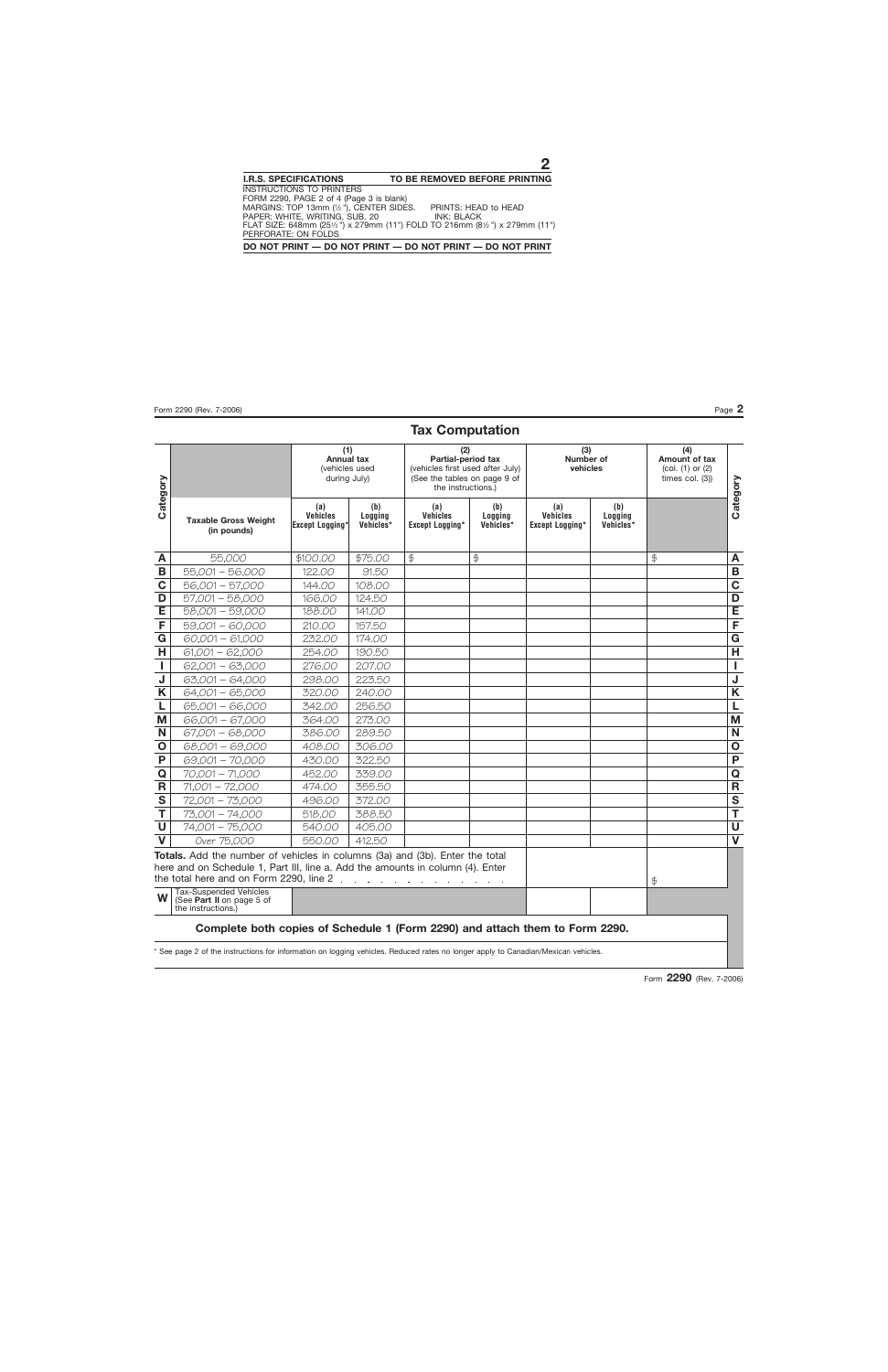## **Tax Computation**

|                         |                                                                                                                                                                | (1)<br><b>Annual tax</b><br>(vehicles used<br>during July) |                             | (2)<br>Partial-period tax<br>(vehicles first used after July)<br>(See the tables on page 9 of<br>the instructions.) |                             | (3)<br>Number of<br>vehicles                     |                             | (4)<br>Amount of tax<br>(col. (1) or (2)<br>times col. $(3)$ ) |              |
|-------------------------|----------------------------------------------------------------------------------------------------------------------------------------------------------------|------------------------------------------------------------|-----------------------------|---------------------------------------------------------------------------------------------------------------------|-----------------------------|--------------------------------------------------|-----------------------------|----------------------------------------------------------------|--------------|
| Category                | <b>Taxable Gross Weight</b><br>(in pounds)                                                                                                                     | (a)<br><b>Vehicles</b><br><b>Except Logging'</b>           | (b)<br>Logging<br>Vehicles* | (a)<br><b>Vehicles</b><br>Except Logging*                                                                           | (b)<br>Logging<br>Vehicles* | (a)<br><b>Vehicles</b><br><b>Except Logging*</b> | (b)<br>Logging<br>Vehicles* |                                                                | Category     |
| A                       | 55,000                                                                                                                                                         | \$100.00                                                   | \$75.00                     | \$                                                                                                                  | $\oint$                     |                                                  |                             | $\oint$                                                        | A            |
| В                       | 55,001 - 56,000                                                                                                                                                | 122.00                                                     | 91.50                       |                                                                                                                     |                             |                                                  |                             |                                                                | В            |
| $\mathbf C$             | 56,001 - 57,000                                                                                                                                                | 144.00                                                     | 108.00                      |                                                                                                                     |                             |                                                  |                             |                                                                | $\mathbf C$  |
| D                       | $57,001 - 58,000$                                                                                                                                              | 166.00                                                     | 124.50                      |                                                                                                                     |                             |                                                  |                             |                                                                | D            |
| Έ                       | 58,001 - 59,000                                                                                                                                                | 188.00                                                     | 141.00                      |                                                                                                                     |                             |                                                  |                             |                                                                | Έ            |
| F                       | 59,001 - 60,000                                                                                                                                                | 210.00                                                     | 157.50                      |                                                                                                                     |                             |                                                  |                             |                                                                | F            |
| $\mathbf G$             | $60,001 - 61,000$                                                                                                                                              | 232.00                                                     | 174.00                      |                                                                                                                     |                             |                                                  |                             |                                                                | G            |
| H                       | $61,001 - 62,000$                                                                                                                                              | 254.00                                                     | 190.50                      |                                                                                                                     |                             |                                                  |                             |                                                                | Н            |
| $\mathbf{I}$            | $62,001 - 63,000$                                                                                                                                              | 276.00                                                     | 207.00                      |                                                                                                                     |                             |                                                  |                             |                                                                | J.           |
| $\overline{\mathsf{J}}$ | 63,001 - 64,000                                                                                                                                                | 298.00                                                     | 223.50                      |                                                                                                                     |                             |                                                  |                             |                                                                | $\mathsf J$  |
| K                       | 64,001 - 65,000                                                                                                                                                | 320.00                                                     | 240.00                      |                                                                                                                     |                             |                                                  |                             |                                                                | K            |
| L                       | 65,001 - 66,000                                                                                                                                                | 342.00                                                     | 256.50                      |                                                                                                                     |                             |                                                  |                             |                                                                | L            |
| M                       | 66,001 - 67,000                                                                                                                                                | 364.00                                                     | 273.00                      |                                                                                                                     |                             |                                                  |                             |                                                                | M            |
| N                       | $67,001 - 68,000$                                                                                                                                              | 386.00                                                     | 289.50                      |                                                                                                                     |                             |                                                  |                             |                                                                | N            |
| $\mathbf 0$             | 68,001 - 69,000                                                                                                                                                | 408.00                                                     | 306.00                      |                                                                                                                     |                             |                                                  |                             |                                                                | $\mathbf{o}$ |
| $\mathsf{P}$            | 69,001 - 70,000                                                                                                                                                | 430.00                                                     | 322.50                      |                                                                                                                     |                             |                                                  |                             |                                                                | $\mathsf{P}$ |
| $\mathbf Q$             | $70,001 - 71,000$                                                                                                                                              | 452.00                                                     | 339.00                      |                                                                                                                     |                             |                                                  |                             |                                                                | $\mathbf Q$  |
| R                       | $71,001 - 72,000$                                                                                                                                              | 474.00                                                     | 355.50                      |                                                                                                                     |                             |                                                  |                             |                                                                | $\mathsf R$  |
| $\mathbf S$             | 72,001 - 73,000                                                                                                                                                | 496.00                                                     | 372.00                      |                                                                                                                     |                             |                                                  |                             |                                                                | $\mathbf S$  |
| T                       | 73,001 - 74,000                                                                                                                                                | 518.00                                                     | 388.50                      |                                                                                                                     |                             |                                                  |                             |                                                                | T            |
| $\cup$                  | 74,001 - 75,000                                                                                                                                                | 540.00                                                     | 405.00                      |                                                                                                                     |                             |                                                  |                             |                                                                | U            |
| $\mathbf{V}$            | Over 75,000                                                                                                                                                    | 550.00                                                     | 412.50                      |                                                                                                                     |                             |                                                  |                             |                                                                | $\mathbf V$  |
|                         | Totals. Add the number of vehicles in columns (3a) and (3b). Enter the total<br>here and on Schedule 1, Part III, line a. Add the amounts in column (4). Enter |                                                            |                             |                                                                                                                     |                             |                                                  |                             | \$                                                             |              |
| W                       | <b>Tax-Suspended Vehicles</b><br>(See Part II on page 5 of<br>the instructions.)                                                                               |                                                            |                             |                                                                                                                     |                             |                                                  |                             |                                                                |              |
|                         | Complete both copies of Schedule 1 (Form 2290) and attach them to Form 2290.                                                                                   |                                                            |                             |                                                                                                                     |                             |                                                  |                             |                                                                |              |

\* See page 2 of the instructions for information on logging vehicles. Reduced rates no longer apply to Canadian/Mexican vehicles.

Form **2290** (Rev. 7-2006)